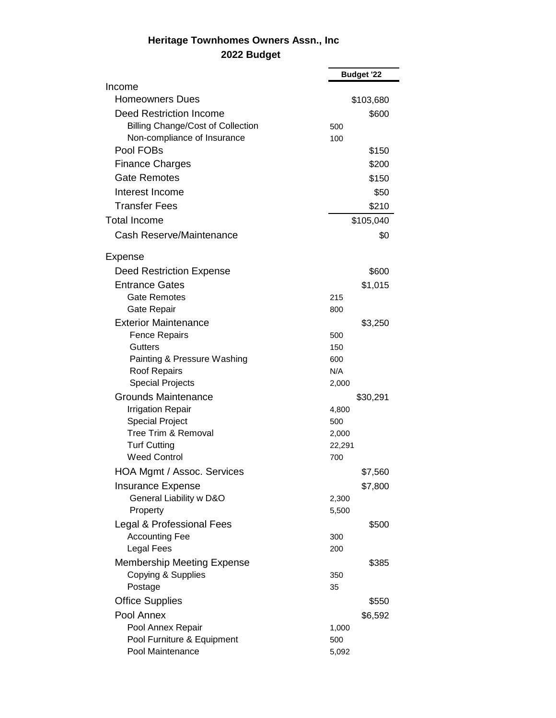## **Heritage Townhomes Owners Assn., Inc 2022 Budget**

|                                            | <b>Budget '22</b> |
|--------------------------------------------|-------------------|
| Income                                     |                   |
| <b>Homeowners Dues</b>                     | \$103,680         |
| <b>Deed Restriction Income</b>             | \$600             |
| <b>Billing Change/Cost of Collection</b>   | 500               |
| Non-compliance of Insurance                | 100               |
| Pool FOBs                                  | \$150             |
| <b>Finance Charges</b>                     | \$200             |
| <b>Gate Remotes</b>                        | \$150             |
| Interest Income                            | \$50              |
| <b>Transfer Fees</b>                       | \$210             |
| <b>Total Income</b>                        | \$105,040         |
| Cash Reserve/Maintenance                   | \$0               |
|                                            |                   |
| Expense                                    |                   |
| <b>Deed Restriction Expense</b>            | \$600             |
| <b>Entrance Gates</b>                      | \$1,015           |
| <b>Gate Remotes</b>                        | 215               |
| Gate Repair                                | 800               |
| <b>Exterior Maintenance</b>                | \$3,250           |
| <b>Fence Repairs</b>                       | 500               |
| <b>Gutters</b>                             | 150               |
| Painting & Pressure Washing                | 600               |
| Roof Repairs                               | N/A               |
| <b>Special Projects</b>                    | 2,000             |
| <b>Grounds Maintenance</b>                 | \$30,291          |
| <b>Irrigation Repair</b>                   | 4,800             |
| <b>Special Project</b>                     | 500               |
| Tree Trim & Removal                        | 2,000             |
| <b>Turf Cutting</b><br><b>Weed Control</b> | 22,291<br>700     |
|                                            |                   |
| HOA Mgmt / Assoc. Services                 | \$7,560           |
| <b>Insurance Expense</b>                   | \$7,800           |
| General Liability w D&O                    | 2,300             |
| Property                                   | 5,500             |
| Legal & Professional Fees                  | \$500             |
| <b>Accounting Fee</b>                      | 300               |
| <b>Legal Fees</b>                          | 200               |
| <b>Membership Meeting Expense</b>          | \$385             |
| Copying & Supplies                         | 350               |
| Postage                                    | 35                |
| <b>Office Supplies</b>                     | \$550             |
| Pool Annex                                 | \$6,592           |
| Pool Annex Repair                          | 1,000             |
| Pool Furniture & Equipment                 | 500               |
| Pool Maintenance                           | 5,092             |